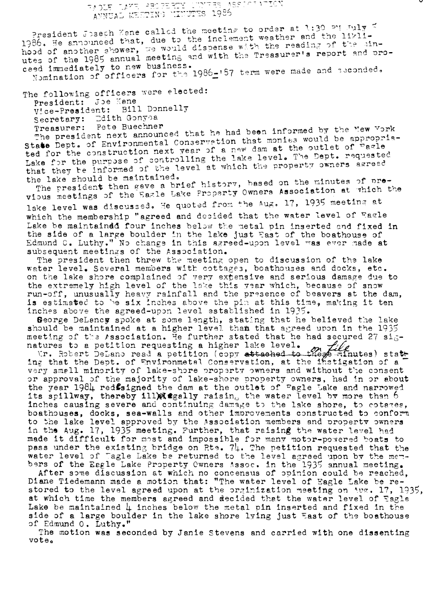## TAGLE LAKE PROPERTY LUNGES ASSISTAT<br>- ANNUAL MESTING MINUTES 1986

President Joseph Kane called the meeting to order at 1:30 PM July E 1986. He announced that, due to the inclement weather and the likinhood of another shower, we would dispense with the reading of the line utes of the 1985 annual meeting and with the Treasurer's report and proceed immediately to new business. Nomination of officers for the 1986-'87 term were made and seconded.

The following officers were elected:

President: Joe Kane Bill Donnelly Vice-President: Secretary: Edith Gonyoa Treasurer: Pete Buechner

The president next announced that he had been informed by the New Vork State Dept. of Environmental Conservation that monies would be appropriated for the construction next year of a new dam at the outlet of ragle Lake for the purpose of controlling the lake level. The Dept. requested that they be informed of the level at which the property owners agreed the lake should be maintained.

The president then gave a brief history, based on the minutes of previous meetings of the Eagle Lake Property Owners Association at which the lake level was discussed. He quoted from the Aug. 17, 1935 meeting at which the membership "agreed and decided that the water level of Eagle Lake be maintained four inches below the metal pin inserted and fixed in the side of a large boulder in the lake just East of the boathouse of Edmund C. Luthy." No change in this agreed-upon level was ever made at subsequent meetings of the Association.

The president then threw the meeting open to discussion of the lake water level. Several members with cottages, boathouses and docks, etc. on the lake shore complained of very extensive and serious damage due to the extremely high level of the lake this year which, because of snow run-off, unusually heavy rainfall and the presence of beavers at the dam, is estimated to be six inches above the pin at this time, making it ten inches above the agreed-upon level established in 1935.

George DeLancy spoke at some length, stating that he believed the lake should be maintained at a higher level than that agreed upon in the 1935 meeting of the Association. He further stated that he had secured 27 signatures to a petition requesting a higher lake level.<br>Ir. Robert DeLano read a petition (copy attached to the perinutes) state

ing that the Dept. of Environmetal Conservation, at the instigation of a very small minority of lake-shore property owners and without the consent or approval of the majority of lake-shore property owners, had in or about the year 1984 redsigned the dam at the outlet of "agle Lake and narrowed its spillway, thereby ill agally raising the water level by more than 6 inches causing severe and continuing damage to the lake shore, to cotages, boathouses, docks, sea-walls and other improvements constructed to conform to the lake level approved by the Association members and property owners<br>in the Aug. 17, 1935 meeting. Further, that raising the water level had made it difficult for most and impossible for many motor-powered boats to pass under the existing bridge on Rte.  $7\mu$ . The petition requested that the water level of Tagle Lake be returned to the level agreed upon by the members of the Eagle Lake Property Cwners Assoc. in the 1935 annual meeting.

After some discussion at which no concensus of opinion could be reached. Diane Tiedemann made a motion that: "The water level of Eagle Lake be re-<br>stored to the level agreed upon at the orginization meeting on  $\sqrt{2}$ . 17, 1935, at which time the members agreed and decided that the water level of Eagle Lake be maintained  $\downarrow$  inches below the metal pin inserted and fixed in the side of a large boulder in the lake shore lying just East of the boathouse of Edmund 0. Luthy."

The motion was seconded by Janie Stevens and carried with one dissenting vote.